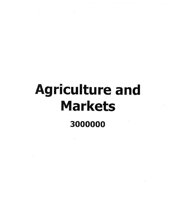# Agriculture and Markets 3000000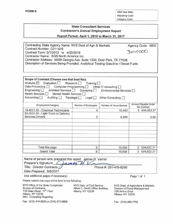Reporting Code: Category Code:

## **State Consultant Services Contractor's Annual Employment Report**

#### **Report Period:** April 1, **2016 to March 31, 2017**

Contracting State Agency Name: NYS Dept of Agri & Markets Agency Code: 0600 Contract Number: C011429 Contract Term: *5/1/2013* to *4/30/2016 3000000* Contractor Name: SGS North America Inc. Contractor Address: 900B Georgia Ave. Suite 1000, Deer Park, TX 77536 Description of Services Being Provided: Analytical Testing Gasoline *1* Diesel Fuels

| Scope of Contract (Choose one that best fits):<br>Analysis ⊠ Evaluation Research Training<br>Data Processing Computer Programming Cother IT consulting<br>Engineering   Architect Services   Surveying  <br>Health Services   Mental Health Services  <br>Accounting $\Box$<br>Auditing Paralegal Legal |                     | Environmental Services<br>Other Consulting |                                      |
|---------------------------------------------------------------------------------------------------------------------------------------------------------------------------------------------------------------------------------------------------------------------------------------------------------|---------------------|--------------------------------------------|--------------------------------------|
| <b>Employment Category</b>                                                                                                                                                                                                                                                                              | Number of Employees | Number of Hours Worked                     | Amount Payable Under<br>the Contract |
| 19-4031.00 - Chemical Technicians                                                                                                                                                                                                                                                                       | 4                   | 10,400                                     | \$634,022.37                         |
| 53-3033.00 - Light Truck or Delivery<br><b>Services Drivers</b>                                                                                                                                                                                                                                         | 2                   | 5,200                                      | 0.00                                 |
|                                                                                                                                                                                                                                                                                                         |                     |                                            |                                      |
| Total this page                                                                                                                                                                                                                                                                                         | 6                   | 15,600                                     | 634,022.37<br>S                      |
| <b>Grand Total</b>                                                                                                                                                                                                                                                                                      | 6                   | 15,600                                     | 634,022.37<br>Ś.                     |

| Name of person who prepared this report: James H. Varner |                       |  |
|----------------------------------------------------------|-----------------------|--|
| Preparer's Signature: Chames HV                          |                       |  |
| Title: Director Contracts                                | Phone #: 281-478-8290 |  |
| Date Prepared: 5/5/2017                                  |                       |  |

Use additional pages if necessary)

Please submit one copy of this form to the following:

NYS Office of the State Comptroller NYS Dept. of Civil Service<br>Bureau of Contracts Alfred E. Smith Office Build 110 State Street. 11<sup>th</sup> Floor Albany, NY 12239 Albany, NY 12236 Attn: Consulting Reporting

Alfred E. Smith Office Building

Page 1 of 1

NYS Dept. of Agriculture & Markets Division of Fiscal Management 1OB Airline Drive Albany, NY 12235

Fax: (518) 474-8030 or (518) 473-8808 Fax: (518) 485-7750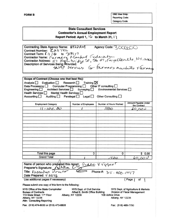FORM B OSC Use Only Reporting Code: Category Code:

#### **State Consultant Services Contractor's Annual Employment Report** Report Period: April 1,  $16$  to March 31, 17

Agency Code: 3000000 Contracting State Agency Name:  $N^{2}PAA$ Contract Number:  $\mathcal{L} \mathcal{O} \mathcal{U} \cap \mathcal{H}$ <br>Contract Term:  $\mathcal{L} \mathcal{U} \mathcal{U} \mathcal{U}$  to  $\mathcal{O}/\mathcal{V} \mathcal{U} \mathcal{U}$ Contractor Name: Farmers, Machet (-coleration de N Contractor Address:  $\frac{1}{2}$ , *Hyl.br.*,  $\frac{1}{2}$ ,  $\frac{1}{2}$ ,  $\frac{1}{2}$ ,  $\frac{1}{2}$ ,  $\frac{1}{2}$ ,  $\frac{1}{2}$ ,  $\frac{1}{2}$ ,  $\frac{1}{2}$ ,  $\frac{1}{2}$ ,  $\frac{1}{2}$ ,  $\frac{1}{2}$ ,  $\frac{1}{2}$ ,  $\frac{1}{2}$ ,  $\frac{1}{2}$ ,  $\frac{1}{2}$ ,  $\frac{1}{2}$ ,  $\frac{$ s Being provided:<br>SNAP services for farmers markets + armens

| Scope of Contract (Choose one that best fits):<br>Analysis <sup>[1]</sup><br>Evaluation $\Box$<br>Data Processing<br>Engineering $\Box$<br>Architect Services<br><b>Health Services</b><br><b>Mental Health Services</b><br>Accounting<br>Auditing <b>N</b> | Training $\boxtimes$<br>Res <sub>earch</sub><br>Computer Programming<br>Surveying<br>Paralegal<br>Legal | Other IT consulting [<br>Environmental Services<br>Other Consulting |                                                                     |
|-------------------------------------------------------------------------------------------------------------------------------------------------------------------------------------------------------------------------------------------------------------|---------------------------------------------------------------------------------------------------------|---------------------------------------------------------------------|---------------------------------------------------------------------|
| <b>Employment Category</b>                                                                                                                                                                                                                                  | <b>Number of Employees</b>                                                                              | Number of Hours Worked                                              | Amount Payable Under                                                |
| $11 - 1011.00$                                                                                                                                                                                                                                              |                                                                                                         | 1500                                                                | the Contract<br>5000                                                |
|                                                                                                                                                                                                                                                             |                                                                                                         |                                                                     |                                                                     |
| Total this page                                                                                                                                                                                                                                             | 0                                                                                                       | 0                                                                   | \$0.00                                                              |
| <b>Grand Total</b>                                                                                                                                                                                                                                          |                                                                                                         | 1500                                                                | 60,000                                                              |
| Name of person who prepared this report:<br>Preparer's Signature: Nelle<br>Title: Executive Director<br>Date Prepared: 5 ILZIIG<br>Use additional pages if necessary)                                                                                       |                                                                                                         | Diane VEggeo<br>Phone #: $3.5 - 400 - 1447$                         | $($ Page $/$<br>of                                                  |
| Please submit one copy of this form to the following:                                                                                                                                                                                                       |                                                                                                         |                                                                     |                                                                     |
| NYS Office of the State Comptroller<br><b>Bureau of Contracts</b><br>110 State Street. 11 <sup>th</sup> Floor<br>Albany, NY 12236                                                                                                                           | NYS Dept. of Civil Service<br>Alfred E. Smith Office Building<br>Albany, NY 12239                       | 10B Airline Drive<br>Albany, NY 12235                               | NYS Dept. of Agriculture & Markets<br>Division of Fiscal Management |

Fax: (518)474-8030 or (518) 473-8808 Fax: (518) 485-7750

Attn: Consulting Reporting

 $\sim$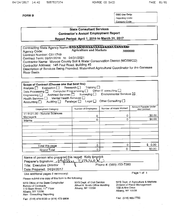**FORM B** 

OSC Use Only: Reporting Code: Category Code:

## **State Consultant Services Contractor's Annual Employment Report**

Report Period: April 1, 2016 to March 31, 2017

Contracting State Agency Name: NXXXXXIXXXXXXXXXXXXXXXXXXXXXXXXXXX **Agriculture and Markets** 3000000 Agency Code: Contract Number: C011749 Contract Term: 05/01/2016 to 04/31/2021 Contractor Name: Monroe County Soil & Water Conservation District (MCSWCD) Contractor Address: 145 Paul Road, Building #5 Description of Services Being Provided: Watershed Agricultural Coordinator for the Genesee **River Basin** Scope of Contract (Choose one that best fits): . Training  $\Box$ Evaluation  $\Box$ Research  $\Box$ Analysis  $\Box$ Other IT consulting  $\square$ Computer Programming  $\square$ Data Processing  $\square$ Environmental Services  $box$ Architect Services □ Surveying  $\square$ Engineering  $\Box$ Mental Health Services [ Health Services  $\Box$ Other Consulting [ Legal ⊡ Paralegal  $\Box$ Accounting  $\square$ Auditing  $\Box$ Arnount Payable Under Number of Hours Worked Number of Employees Employment Category the Contract 11-9121.00 - Natural Sciences \$0.00 0 0 Managers \$0.00 0  $\sigma$ Interns  $$0.00$  $\mathbf 0$  $\mathbf{O}$ Total this page \$0.00 0  $\overline{O}$ **Grand Total** 

Name of person who prepared this report: Kelly Emerick KNQ N Preparer's Signature: 10000 Phone #: (585) 753-7380 **Title: Executive Director** Date Prepared: 04/24/2017 Page 1 of 1 Use additional pages if necessary)

Please submit one copy of this form to the following:

NYS Office of the State Comptroller **Bureau of Contracts** 110 State Street. 11th Floor Albany, NY 12236 Attn: Consulting Reporting

NYS Dept. of Civil Service Alfred E. Smith Office Building Albany, NY 12239

NYS Dept. of Agriculture & Markets Division of Fiscal Management

10B Airline Drive Albany, NY 12235

Fax: (518) 485-7750

Fax: (518) 474-8030 or (518) 473-8808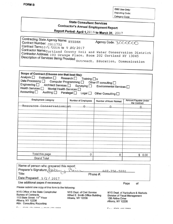**FORM B** 

osc Use Only: Reporting Code: Category Code:

..------------~

# State Consultant Services Contractor's Annual Employment Report

Report Period: April 1,2016 to March 31, 2017

Contracting State Agency Name: NYSDAM Agency Code: 3000000 Contract Number: C011752 Contract Term<sub>10</sub> /<sub>1</sub> /<sub>2016</sub> to 9 *80*/2017 Contractor Name: Cortland County Soil and Water Conservation District Contractor Address: 100 Grange Place, Room 202 Cortland NY 13045 Description of Services Being Provided: Outreach, Education, Communicati

| Analysis <sup>[1]</sup><br>Evaluation $\square$<br>Data Processing C Computer Programming C Other IT consulting C<br>Engineering Architect Services Surveying<br>Health Services <sub>1</sub><br>Mental Health Services O<br>Accounting $\square$ | Research $\Box$ Training $\Box$ x<br>Auditing Paralegal   Legal   Other Consulting | Environmental Services [ |                                      |
|---------------------------------------------------------------------------------------------------------------------------------------------------------------------------------------------------------------------------------------------------|------------------------------------------------------------------------------------|--------------------------|--------------------------------------|
| <b>Employment Category</b>                                                                                                                                                                                                                        | Number of Employees                                                                | Number of Hours Worked   | Amount Payable Under<br>the Contract |
| Resource Conservationist                                                                                                                                                                                                                          | $\cap$                                                                             |                          | $\Omega$                             |
|                                                                                                                                                                                                                                                   |                                                                                    |                          |                                      |
|                                                                                                                                                                                                                                                   |                                                                                    |                          |                                      |
|                                                                                                                                                                                                                                                   |                                                                                    |                          |                                      |
|                                                                                                                                                                                                                                                   |                                                                                    |                          |                                      |
|                                                                                                                                                                                                                                                   |                                                                                    |                          |                                      |
| Total this page                                                                                                                                                                                                                                   | $\Omega$                                                                           | 0                        | \$<br>0.00                           |
| <b>Grand Total</b>                                                                                                                                                                                                                                |                                                                                    |                          |                                      |

| Traffle of person write prepared this report.         |                    |  |
|-------------------------------------------------------|--------------------|--|
| Preparer's Signature: Aubour<br>Never                 | $607 - 756 - 5991$ |  |
| Title:                                                | Phone #:           |  |
| Date Prepared: 5/2/2017                               |                    |  |
| Use additional pages if necessary)                    | Page<br>οf         |  |
| Please submit one copy of this form to the following: |                    |  |

NYS Office of the State Comptroller NYS Dept. of Civil Service Bureau of Contracts<br>
110 State Street. 11<sup>th</sup> Floor Albany, NY 12239 Albany, NY 12236 Attn: Consulting Reporting

Alfred E. Smith Office Building

NYS Dept. of Agriculture & Markets Division of Fiscal Management 10B Airline Drive Albany, NY 12235

 $F = \frac{1}{2}$   $F \times 0$   $F \times 1$   $F \times 0$   $F \times 0$   $F \times 0$   $F \times 0$   $F \times 0$ 

 $F$ - $\cdots$  (FAO) JOE 77EO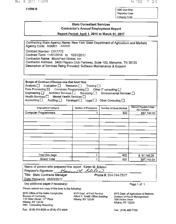May. 4. 2017 1:09PM

**FORM B** 

No. 1923 P.  $2/2$ 

OSC Use Only: Reporting Code: Category Code:

## **State Consultant Services Contractor's Annual Employment Report**

Report Period: April 1, 2016 to March 31, 2017

Contracting State Agency Name: New York State Department of Agriculture and Markets Agency Code: AGM01 -300000

Contract Number: C011772 Contract Term: 11/01/2016 to 10/31/2017 Contractor Name: MicroPact Global, Inc. Contractor Address: 3400 Players Club Parkway, Suite 100, Memphis, TN 38125 Description of Services Being Provided: Software Maintenance & Support

| Scope of Contract (Choose one that best fits):<br>Analysis   Evaluation   Research   Training  <br>Data Processing $\boxtimes$ Computer Programming $\Box$ Other IT consulting $\Box$<br>Engineering □ Architect Services □ Surveying □<br>Environmental Services $\Box$<br>Health Services □ Mental Health Services □<br>Accounting $\square$<br>Auditing □ Paralegal □ Legal □<br>Other Consulting □ |                     |                        |                                      |  |
|--------------------------------------------------------------------------------------------------------------------------------------------------------------------------------------------------------------------------------------------------------------------------------------------------------------------------------------------------------------------------------------------------------|---------------------|------------------------|--------------------------------------|--|
| <b>Employment Category</b>                                                                                                                                                                                                                                                                                                                                                                             | Number of Employees | Number of Hours Worked | Amount Payable Under<br>the Contract |  |
| Computer Programmers                                                                                                                                                                                                                                                                                                                                                                                   |                     | 502                    | \$87,740.00                          |  |
|                                                                                                                                                                                                                                                                                                                                                                                                        |                     |                        |                                      |  |
|                                                                                                                                                                                                                                                                                                                                                                                                        |                     |                        |                                      |  |
|                                                                                                                                                                                                                                                                                                                                                                                                        |                     |                        |                                      |  |
|                                                                                                                                                                                                                                                                                                                                                                                                        |                     |                        |                                      |  |
|                                                                                                                                                                                                                                                                                                                                                                                                        |                     |                        |                                      |  |
|                                                                                                                                                                                                                                                                                                                                                                                                        |                     |                        |                                      |  |
|                                                                                                                                                                                                                                                                                                                                                                                                        |                     |                        |                                      |  |
|                                                                                                                                                                                                                                                                                                                                                                                                        |                     |                        |                                      |  |
|                                                                                                                                                                                                                                                                                                                                                                                                        |                     |                        |                                      |  |
|                                                                                                                                                                                                                                                                                                                                                                                                        |                     |                        |                                      |  |
| Total this page                                                                                                                                                                                                                                                                                                                                                                                        |                     | 502                    | \$87,740.00                          |  |
| Grand Total                                                                                                                                                                                                                                                                                                                                                                                            |                     | 502                    | \$87,740.00                          |  |

| Name of person who prepared this report: Karen M. Edelen |                       |
|----------------------------------------------------------|-----------------------|
| Preparer's Signature: Bay M. Edeller                     |                       |
| Title: State Contracts Manager                           | Phone #: 314-744-7317 |
| Date Prepared: 05/03/2017                                |                       |
| Use additional pages if necessary)                       | Page 1 of 1           |

Please submit one copy of this form to the following:

NYS Office of the State Comptroller Bureau of Contracts 110 State Street. 11<sup>th</sup> Floor Albany, NY 12236 Attn: Consulting Reporting

NYS Dept. of Civil Service Alfred E. Smith Office Building Albany, NY 12239

NYS Dept. of Agriculture & Markets Division of Fiscal Management 10B Airline Drive Albany, NY 12235

Fax: (518) 474-8030 or (518) 473-8808

Fax: (518) 485-7750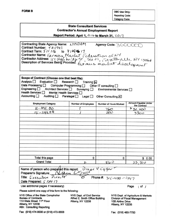**OSC Use Only: Reporting Code: Category Code:** 

### **State Consultant Services Contractor's Annual Employment Report**

Report Period: April 1, 2016 to March 31, 2017

Contracting State Agency Name: NYSDAM Agency Code: 300000 Contract Number: Toll741 Contract Term: 511116 to  $V$ 130211 Contractor Name: Farmers Market Federation of NY<br>Contractor Address: 117 High bridge St., Ste U1, Feyette Ville, NY 15066

| Scope of Contract (Choose one that best fits):<br>Analysis <sup>[1]</sup><br>Evaluation $\Box$<br>Data Processing<br>Computer Programming<br>Engineering $\square$<br>Architect Services<br>Health Services <b>N</b><br>Mental Health Services<br>Accounting $\square$<br>Auditing $\square$ | Research $\Box$<br>Training<br>Surveying $\square$<br>Paralegal O<br>Legal $\square$ | Other IT consulting $\Box$<br>Environmental Services  <br>Other Consulting X |                                                                            |
|----------------------------------------------------------------------------------------------------------------------------------------------------------------------------------------------------------------------------------------------------------------------------------------------|--------------------------------------------------------------------------------------|------------------------------------------------------------------------------|----------------------------------------------------------------------------|
| <b>Employment Category</b>                                                                                                                                                                                                                                                                   | <b>Number of Employees</b>                                                           | <b>Number of Hours Worked</b>                                                | <b>Amount Payable Under</b><br>the Contract                                |
| $-1011.00$                                                                                                                                                                                                                                                                                   |                                                                                      | 760                                                                          | 930,400                                                                    |
| $15 - 119989$                                                                                                                                                                                                                                                                                |                                                                                      | 200                                                                          | 5200                                                                       |
|                                                                                                                                                                                                                                                                                              |                                                                                      |                                                                              |                                                                            |
|                                                                                                                                                                                                                                                                                              |                                                                                      |                                                                              |                                                                            |
| Total this page<br><b>Grand Total</b>                                                                                                                                                                                                                                                        | 0                                                                                    | 0                                                                            | \$0.00                                                                     |
|                                                                                                                                                                                                                                                                                              | $\overline{z}$                                                                       | 860                                                                          | 33,100                                                                     |
| Name of person who prepared this report:<br>Preparer's Signature: / Vlann<br>Title: Executive Pirecte<br>Date Prepared: $\sqrt{12}$ (7)                                                                                                                                                      |                                                                                      | Diage Vegger<br>Phone #:<br>$315 - 400 - 1447$                               |                                                                            |
| Use additional pages if necessary)                                                                                                                                                                                                                                                           |                                                                                      |                                                                              | Page<br>$\begin{array}{cc} 1 & \text{of} \end{array}$                      |
| Please submit one copy of this form to the following:                                                                                                                                                                                                                                        |                                                                                      |                                                                              |                                                                            |
| NYS Office of the State Comptroller<br><b>Bureau of Contracts</b><br>110 State Street, 11 <sup>th</sup> Floor<br>Albany, NY 12236<br><b>Attn: Consulting Reporting</b>                                                                                                                       | NYS Dept. of Civil Service<br>Alfred E. Smith Office Building<br>Albany, NY 12239    | <b>10B Airline Drive</b><br>Albany, NY 12235                                 | NYS Dept. of Agriculture & Markets<br><b>Division of Fiscal Management</b> |
| Fax: (518) 474-8030 or (518) 473-8808                                                                                                                                                                                                                                                        |                                                                                      | Fax: (518) 485-7750                                                          |                                                                            |